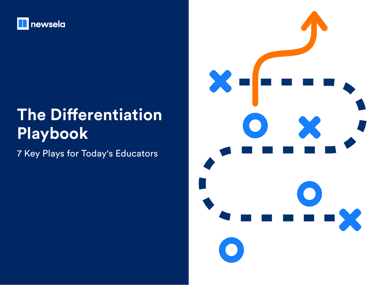

## **The Differentiation Playbook**

7 Key Plays for Today's Educators

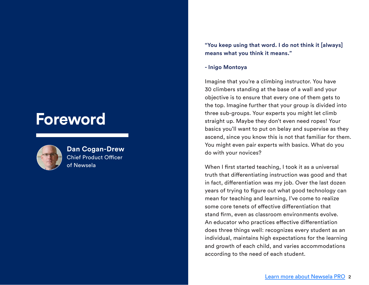## **Foreword**



**Dan Cogan-Drew** Chief Product Officer of Newsela

**"You keep using that word. I do not think it [always] means what you think it means."**

#### **- Inigo Montoya**

Imagine that you're a climbing instructor. You have 30 climbers standing at the base of a wall and your objective is to ensure that every one of them gets to the top. Imagine further that your group is divided into three sub-groups. Your experts you might let climb straight up. Maybe they don't even need ropes! Your basics you'll want to put on belay and supervise as they ascend, since you know this is not that familiar for them. You might even pair experts with basics. What do you do with your novices?

When I first started teaching, I took it as a universal truth that differentiating instruction was good and that in fact, differentiation was my job. Over the last dozen years of trying to figure out what good technology can mean for teaching and learning, I've come to realize some core tenets of effective differentiation that stand firm, even as classroom environments evolve. An educator who practices effective differentiation does three things well: recognizes every student as an individual, maintains high expectations for the learning and growth of each child, and varies accommodations according to the need of each student.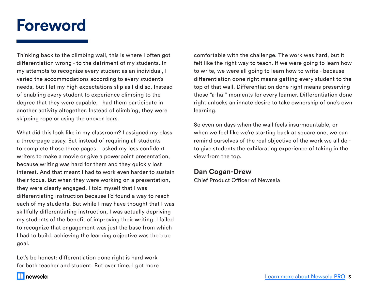## **Foreword**

Thinking back to the climbing wall, this is where I often got differentiation wrong - to the detriment of my students. In my attempts to recognize every student as an individual, I varied the accommodations according to every student's needs, but I let my high expectations slip as I did so. Instead of enabling every student to experience climbing to the degree that they were capable, I had them participate in another activity altogether. Instead of climbing, they were skipping rope or using the uneven bars.

What did this look like in my classroom? I assigned my class a three-page essay. But instead of requiring all students to complete those three pages, I asked my less confident writers to make a movie or give a powerpoint presentation, because writing was hard for them and they quickly lost interest. And that meant I had to work even harder to sustain their focus. But when they were working on a presentation, they were clearly engaged. I told myself that I was differentiating instruction because I'd found a way to reach each of my students. But while I may have thought that I was skillfully differentiating instruction, I was actually depriving my students of the benefit of improving their writing. I failed to recognize that engagement was just the base from which I had to build; achieving the learning objective was the true goal.

Let's be honest: differentiation done right is hard work for both teacher and student. But over time, I got more comfortable with the challenge. The work was hard, but it felt like the right way to teach. If we were going to learn how to write, we were all going to learn how to write - because differentiation done right means getting every student to the top of that wall. Differentiation done right means preserving those "a-ha!" moments for every learner. Differentiation done right unlocks an innate desire to take ownership of one's own learning.

So even on days when the wall feels insurmountable, or when we feel like we're starting back at square one, we can remind ourselves of the real objective of the work we all do to give students the exhilarating experience of taking in the view from the top.

#### **Dan Cogan-Drew**

Chief Product Officer of Newsela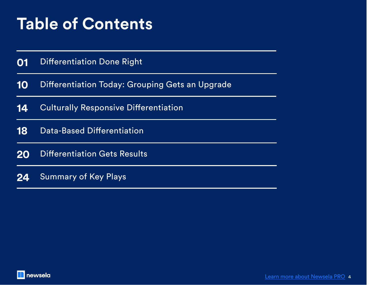## **Table of Contents**

Differentiation Done Right **01**

Differentiation Today: Grouping Gets an Upgrade **10**

Culturally Responsive Differentiation 14 Culturally Responsive Differentiation<br>18 Data-Based Differentiation<br>20 Differentiation Gets Results<br>24 Summary of Key Plays<br>**12 Summary of Key Plays** 

Data-Based Differentiation **18**

Differentiation Gets Results **20**

Summary of Key Plays **24**

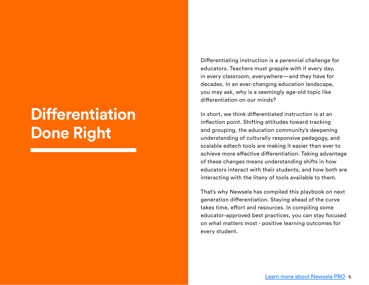## **Differentiation Done Right**

Differentiating instruction is a perennial challenge for educators. Teachers must grapple with it every day, in every classroom, everywhere—and they have for decades. In an ever-changing education landscape, you may ask, why is a seemingly age-old topic like differentiation on our minds?

In short, we think differentiated instruction is at an inflection point. Shifting attitudes toward tracking and grouping, the education community's deepening understanding of culturally responsive pedagogy, and scalable edtech tools are making it easier than ever to achieve more effective differentiation. Taking advantage of these changes means understanding shifts in how educators interact with their students, and how both are interacting with the litany of tools available to them.

That's why Newsela has compiled this playbook on next generation differentiation. Staying ahead of the curve takes time, effort and resources. In compiling some educator-approved best practices, you can stay focused on what matters most - positive learning outcomes for every student.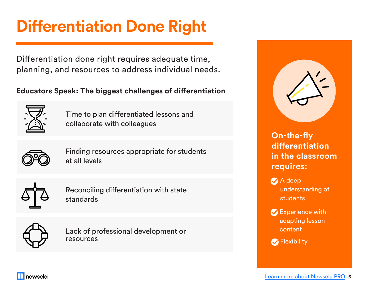# **Differentiation Done Right**

Differentiation done right requires adequate time, planning, and resources to address individual needs.

## **Educators Speak: The biggest challenges of differentiation**



Time to plan differentiated lessons and collaborate with colleagues



Finding resources appropriate for students at all levels



Reconciling differentiation with state standards



Lack of professional development or resources



- **A** deep understanding of students
- $\bullet$  Experience with adapting lesson content
- **P** Flexibility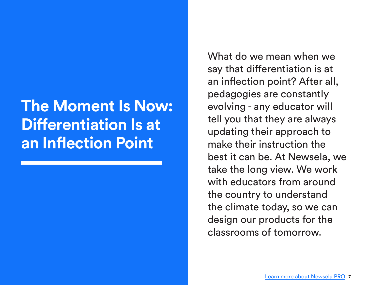## **The Moment Is Now: Differentiation Is at an Inflection Point**

What do we mean when we say that differentiation is at an inflection point? After all, pedagogies are constantly evolving - any educator will tell you that they are always updating their approach to make their instruction the best it can be. At Newsela, we take the long view. We work with educators from around the country to understand the climate today, so we can design our products for the classrooms of tomorrow.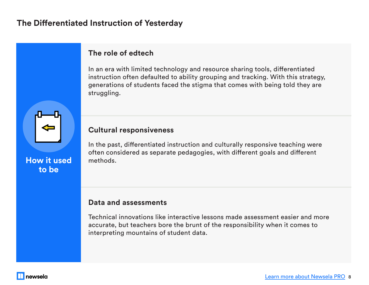## **The Differentiated Instruction of Yesterday**

## **The role of edtech**

In an era with limited technology and resource sharing tools, differentiated instruction often defaulted to ability grouping and tracking. With this strategy, generations of students faced the stigma that comes with being told they are struggling.

### **Cultural responsiveness**

In the past, differentiated instruction and culturally responsive teaching were often considered as separate pedagogies, with different goals and different methods.

#### **Data and assessments**

Technical innovations like interactive lessons made assessment easier and more accurate, but teachers bore the brunt of the responsibility when it comes to interpreting mountains of student data.

**How it used to be**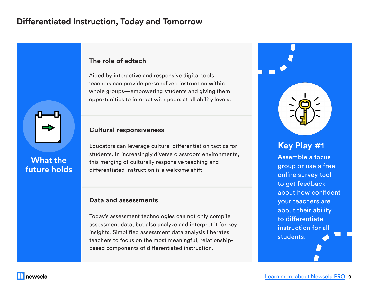## **Differentiated Instruction, Today and Tomorrow**



## **What the future holds**

#### **The role of edtech**

Aided by interactive and responsive digital tools, teachers can provide personalized instruction within whole groups—empowering students and giving them opportunities to interact with peers at all ability levels.

#### **Cultural responsiveness**

Educators can leverage cultural differentiation tactics for students. In increasingly diverse classroom environments, this merging of culturally responsive teaching and differentiated instruction is a welcome shift.

#### **Data and assessments**

Today's assessment technologies can not only compile assessment data, but also analyze and interpret it for key insights. Simplified assessment data analysis liberates teachers to focus on the most meaningful, relationshipbased components of differentiated instruction.

## **Key Play #1**

Assemble a focus group or use a free online survey tool to get feedback about how confident your teachers are about their ability to differentiate instruction for all students.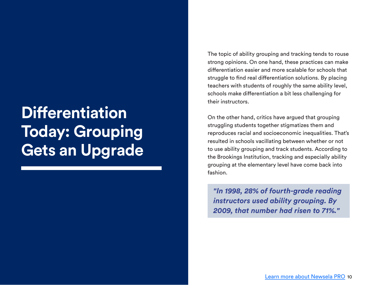## **Differentiation Today: Grouping Gets an Upgrade**

The topic of ability grouping and tracking tends to rouse strong opinions. On one hand, these practices can make differentiation easier and more scalable for schools that struggle to find real differentiation solutions. By placing teachers with students of roughly the same ability level, schools make differentiation a bit less challenging for their instructors.

On the other hand, critics have argued that grouping struggling students together stigmatizes them and reproduces racial and socioeconomic inequalities. That's resulted in schools vacillating between whether or not to use ability grouping and track students. According to the Brookings Institution, tracking and especially ability grouping at the elementary level have come back into fashion.

*"In 1998, 28% of fourth-grade reading instructors used ability grouping. By 2009, that number had risen to 71%."*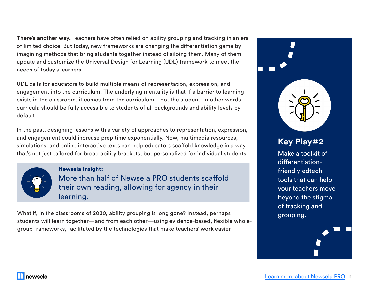**There's another way.** Teachers have often relied on ability grouping and tracking in an era of limited choice. But today, new frameworks are changing the differentiation game by imagining methods that bring students together instead of siloing them. Many of them update and customize the Universal Design for Learning (UDL) framework to meet the needs of today's learners.

UDL calls for educators to build multiple means of representation, expression, and engagement into the curriculum. The underlying mentality is that if a barrier to learning exists in the classroom, it comes from the curriculum—not the student. In other words, curricula should be fully accessible to students of all backgrounds and ability levels by default.

In the past, designing lessons with a variety of approaches to representation, expression, and engagement could increase prep time exponentially. Now, multimedia resources, simulations, and online interactive texts can help educators scaffold knowledge in a way that's not just tailored for broad ability brackets, but personalized for individual students.



newsela

**Newsela Insight:** 

More than half of Newsela PRO students scaffold their own reading, allowing for agency in their learning.

What if, in the classrooms of 2030, ability grouping is long gone? Instead, perhaps students will learn together—and from each other—using evidence-based, flexible wholegroup frameworks, facilitated by the technologies that make teachers' work easier.

# **Key Play#2**

Make a toolkit of differentiationfriendly edtech tools that can help your teachers move beyond the stigma of tracking and grouping.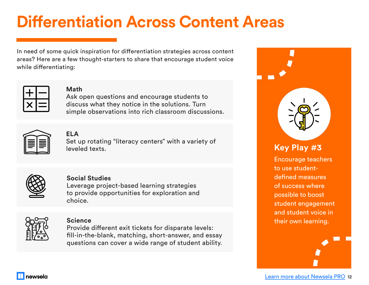## **Differentiation Across Content Areas**

In need of some quick inspiration for differentiation strategies across content areas? Here are a few thought-starters to share that encourage student voice while differentiating:



#### **Math**

Ask open questions and encourage students to discuss what they notice in the solutions. Turn simple observations into rich classroom discussions.



## **ELA**

Set up rotating "literacy centers" with a variety of leveled texts.



#### **Social Studies**

Leverage project-based learning strategies to provide opportunities for exploration and choice.



#### **Science**

Provide different exit tickets for disparate levels: fill-in-the-blank, matching, short-answer, and essay questions can cover a wide range of student ability.



Encourage teachers to use studentdefined measures of success where possible to boost student engagement and student voice in their own learning.

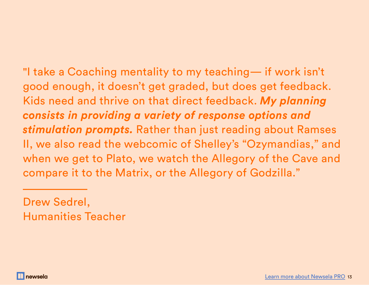"I take a Coaching mentality to my teaching— if work isn't good enough, it doesn't get graded, but does get feedback. Kids need and thrive on that direct feedback. *My planning consists in providing a variety of response options and stimulation prompts.* Rather than just reading about Ramses II, we also read the webcomic of Shelley's "Ozymandias," and when we get to Plato, we watch the Allegory of the Cave and compare it to the Matrix, or the Allegory of Godzilla."

Drew Sedrel, Humanities Teacher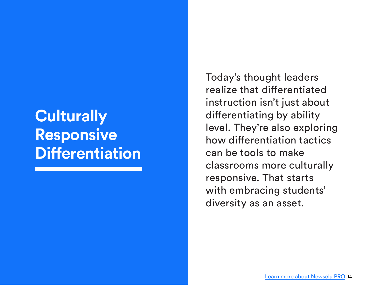## **Culturally Responsive Differentiation**

Today's thought leaders realize that differentiated instruction isn't just about differentiating by ability level. They're also exploring how differentiation tactics can be tools to make classrooms more culturally responsive. That starts with embracing students' diversity as an asset.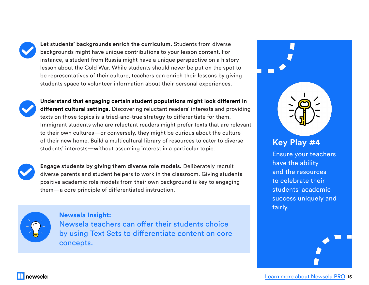**Let students' backgrounds enrich the curriculum.** Students from diverse backgrounds might have unique contributions to your lesson content. For instance, a student from Russia might have a unique perspective on a history lesson about the Cold War. While students should never be put on the spot to be representatives of their culture, teachers can enrich their lessons by giving students space to volunteer information about their personal experiences.



**Understand that engaging certain student populations might look different in different cultural settings.** Discovering reluctant readers' interests and providing texts on those topics is a tried-and-true strategy to differentiate for them. Immigrant students who are reluctant readers might prefer texts that are relevant to their own cultures—or conversely, they might be curious about the culture of their new home. Build a multicultural library of resources to cater to diverse students' interests—without assuming interest in a particular topic.



**Engage students by giving them diverse role models.** Deliberately recruit diverse parents and student helpers to work in the classroom. Giving students positive academic role models from their own background is key to engaging them—a core principle of differentiated instruction.



Newsela teachers can offer their students choice by using Text Sets to differentiate content on core concepts. **Newsela Insight:**



Ensure your teachers have the ability and the resources to celebrate their students' academic success uniquely and fairly.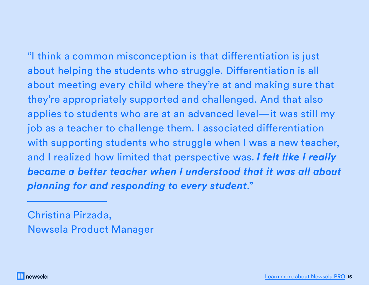"I think a common misconception is that differentiation is just about helping the students who struggle. Differentiation is all about meeting every child where they're at and making sure that they're appropriately supported and challenged. And that also applies to students who are at an advanced level—it was still my job as a teacher to challenge them. I associated differentiation with supporting students who struggle when I was a new teacher, and I realized how limited that perspective was. *I felt like I really became a better teacher when I understood that it was all about planning for and responding to every student*."

Christina Pirzada, Newsela Product Manager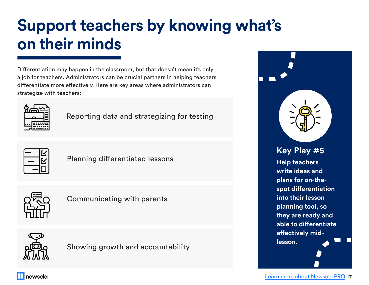# **Support teachers by knowing what's on their minds**

Differentiation may happen in the classroom, but that doesn't mean it's only a job for teachers. Administrators can be crucial partners in helping teachers differentiate more effectively. Here are key areas where administrators can strategize with teachers:



Reporting data and strategizing for testing



Planning differentiated lessons



Communicating with parents



Showing growth and accountability

**Help teachers write ideas and plans for on-thespot differentiation into their lesson planning tool, so they are ready and able to differentiate effectively midlesson. Key Play #5**

newsela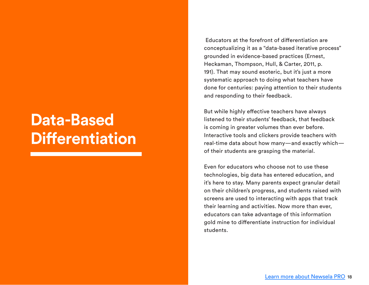## **Data-Based Differentiation**

 Educators at the forefront of differentiation are conceptualizing it as a "data-based iterative process" grounded in evidence-based practices (Ernest, Heckaman, Thompson, Hull, & Carter, 2011, p. 191). That may sound esoteric, but it's just a more systematic approach to doing what teachers have done for centuries: paying attention to their students and responding to their feedback.

But while highly effective teachers have always listened to their students' feedback, that feedback is coming in greater volumes than ever before. Interactive tools and clickers provide teachers with real-time data about how many—and exactly which of their students are grasping the material.

Even for educators who choose not to use these technologies, big data has entered education, and it's here to stay. Many parents expect granular detail on their children's progress, and students raised with screens are used to interacting with apps that track their learning and activities. Now more than ever, educators can take advantage of this information gold mine to differentiate instruction for individual students.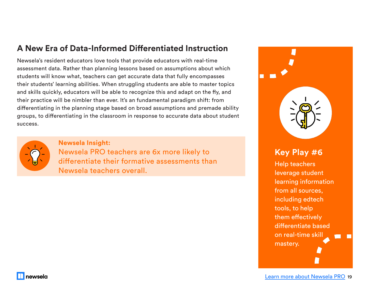## **A New Era of Data-Informed Differentiated Instruction**

Newsela's resident educators love tools that provide educators with real-time assessment data. Rather than planning lessons based on assumptions about which students will know what, teachers can get accurate data that fully encompasses their students' learning abilities. When struggling students are able to master topics and skills quickly, educators will be able to recognize this and adapt on the fly, and their practice will be nimbler than ever. It's an fundamental paradigm shift: from differentiating in the planning stage based on broad assumptions and premade ability groups, to differentiating in the classroom in response to accurate data about student success.



newsela

#### **Newsela Insight:**

Newsela PRO teachers are 6x more likely to **Key Play #6** differentiate their formative assessments than Newsela teachers overall.

Help teachers leverage student learning information from all sources, including edtech tools, to help them effectively differentiate based on real-time skill mastery.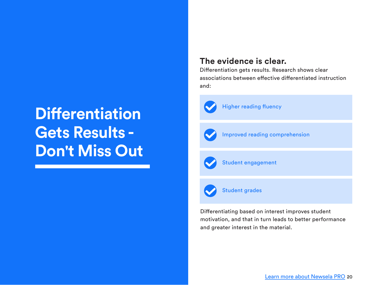## **Differentiation Gets Results - Don't Miss Out**

## **The evidence is clear.**

Differentiation gets results. Research shows clear associations between effective differentiated instruction and:



**Higher reading fluency** 



Improved reading comprehension



Student engagement



Student grades

Differentiating based on interest improves student motivation, and that in turn leads to better performance and greater interest in the material.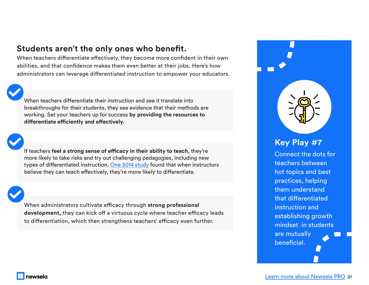## **Students aren't the only ones who benefit.**

When teachers differentiate effectively, they become more confident in their own abilities, and that confidence makes them even better at their jobs. Here's how administrators can leverage differentiated instruction to empower your educators.

When teachers differentiate their instruction and see it translate into breakthroughs for their students, they see evidence that their methods are working. Set your teachers up for success **by providing the resources to differentiate efficiently and effectively.**

If teachers **feel a strong sense of efficacy in their ability to teach**, they're more likely to take risks and try out challenging pedagogies, including new types of differentiated instruction. [One 201](https://journals.sagepub.com/doi/abs/10.1177/0162353214529042)4 study found that when instructors believe they can teach effectively, they're more likely to differentiate.

When administrators cultivate efficacy through **strong professional development,** they can kick off a virtuous cycle where teacher efficacy leads to differentiation, which then strengthens teachers' efficacy even further.

## **Key Play #7**

Connect the dots for teachers between hot topics and best practices, helping them understand that differentiated instruction and establishing growth mindset in students are mutually beneficial.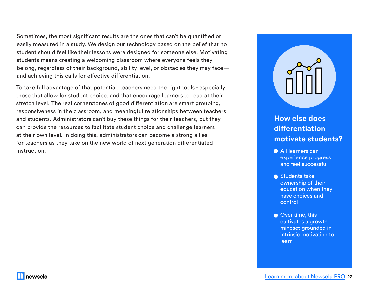Sometimes, the most significant results are the ones that can't be quantified or easily measured in a study. We design our technology based on the belief that no student should feel like their lessons were designed for someone else. Motivating students means creating a welcoming classroom where everyone feels they belong, regardless of their background, ability level, or obstacles they may face and achieving this calls for effective differentiation.

To take full advantage of that potential, teachers need the right tools - especially those that allow for student choice, and that encourage learners to read at their stretch level. The real cornerstones of good differentiation are smart grouping, responsiveness in the classroom, and meaningful relationships between teachers and students. Administrators can't buy these things for their teachers, but they can provide the resources to facilitate student choice and challenge learners at their own level. In doing this, administrators can become a strong allies for teachers as they take on the new world of next generation differentiated instruction.



## **How else does differentiation motivate students?**

- **All learners can** experience progress and feel successful
- Students take ownership of their education when they have choices and control
- Over time, this cultivates a growth mindset grounded in intrinsic motivation to learn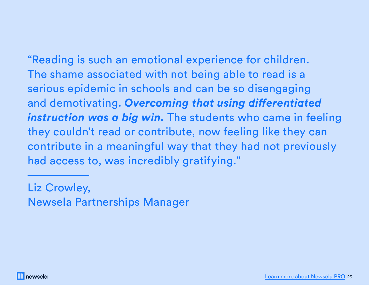"Reading is such an emotional experience for children. The shame associated with not being able to read is a serious epidemic in schools and can be so disengaging and demotivating. *Overcoming that using differentiated instruction was a big win.* The students who came in feeling they couldn't read or contribute, now feeling like they can contribute in a meaningful way that they had not previously had access to, was incredibly gratifying."

Liz Crowley, Newsela Partnerships Manager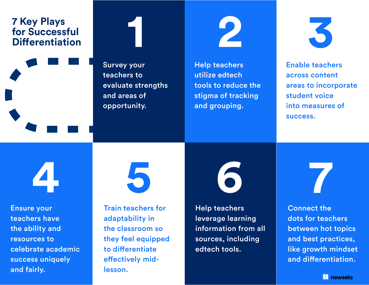## **7 Key Plays for Successful Property Plays<br>
The Successful<br>
Differentiation<br>
Differentiation**

Survey your teachers to evaluate strengths and areas of opportunity.



Help teachers utilize edtech tools to reduce the stigma of tracking and grouping.



Enable teachers across content areas to incorporate student voice into measures of success.

**4**

Ensure your teachers have the ability and resources to celebrate academic success uniquely and fairly.



Train teachers for adaptability in the classroom so they feel equipped to differentiate effectively midlesson.

Help teachers leverage learning information from all sources, including edtech tools.



Connect the dots for teachers between hot topics and best practices, like growth mindset and differentiation.

**La newsela**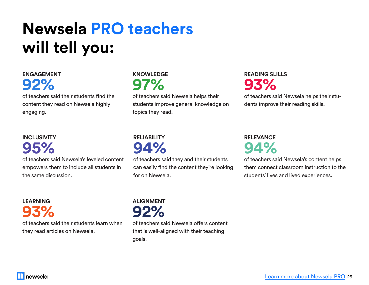# **Newsela PRO teachers will tell you:**

## **ENGAGEMENT 92%**

of teachers said their students find the content they read on Newsela highly engaging.

## **INCLUSIVITY 95%**

**LEARNING**

of teachers said Newsela's leveled content empowers them to include all students in the same discussion.

**93%** of teachers said their students learn when they read articles on Newsela.

## **KNOWLEDGE 97%**

of teachers said Newsela helps their students improve general knowledge on topics they read.

## **READING SLILLS 93%**

of teachers said Newsela helps their students improve their reading skills.

## **RELIABILITY 94%**

of teachers said they and their students can easily find the content they're looking for on Newsela.

## **RELEVANCE 94%**

of teachers said Newsela's content helps them connect classroom instruction to the students' lives and lived experiences.



of teachers said Newsela offers content that is well-aligned with their teaching goals.

newsela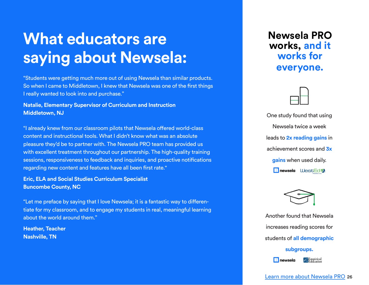## **What educators are saying about Newsela:**

"Students were getting much more out of using Newsela than similar products. So when I came to Middletown, I knew that Newsela was one of the first things I really wanted to look into and purchase."

#### **Natalie, Elementary Supervisor of Curriculum and Instruction Middletown, NJ**

"I already knew from our classroom pilots that Newsela offered world-class content and instructional tools. What I didn't know what was an absolute pleasure they'd be to partner with. The Newsela PRO team has provided us with excellent treatment throughout our partnership. The high-quality training sessions, responsiveness to feedback and inquiries, and proactive notifications regarding new content and features have all been first rate."

**Eric, ELA and Social Studies Curriculum Specialist Buncombe County, NC**

"Let me preface by saying that I love Newsela; it is a fantastic way to differentiate for my classroom, and to engage my students in real, meaningful learning about the world around them."

**Heather, Teacher Nashville, TN**

**Newsela PRO works, and it works for everyone.**



One study found that using Newsela twice a week leads to **2x reading gains** in achievement scores and **3x gains** when used daily. **newsela** WestEd



Another found that Newsela increases reading scores for students of **all demographic subgroups.**

Empirical<br>Education  $\prod$  newsela

[Learn more about Newsela PRO](https://go.newsela.com/Pro-Pilot.html?utm_campaign=NEWSELA-PRO-2019&utm_source=whitepaper&utm_medium=whitepaper&utm_content=DMG-CD-2019-Differentiation-Playbook) 26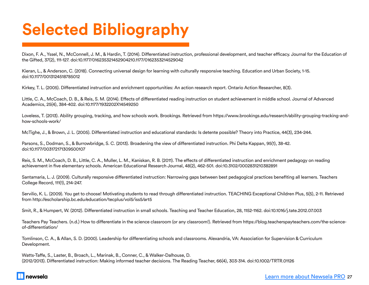# **Selected Bibliography**

Dixon, F. A., Yssel, N., McConnell, J. M., & Hardin, T. (2014). Differentiated instruction, professional development, and teacher efficacy. Journal for the Education of the Gifted, 37(2), 111-127. doi:10.1177/016235321452904210.1177/0162353214529042

Kieran, L., & Anderson, C. (2018). Connecting universal design for learning with culturally responsive teaching. Education and Urban Society, 1-15. doi:10.1177/0013124518785012

Kirkey, T. L. (2005). Differentiated instruction and enrichment opportunities: An action research report. Ontario Action Researcher, 8(3).

Little, C. A., McCoach, D. B., & Reis, S. M. (2014). Effects of differentiated reading instruction on student achievement in middle school. Journal of Advanced Academics, 25(4), 384-402. doi:10.1177/1932202X14549250

Loveless, T. (2013). Ability grouping, tracking, and how schools work. Brookings. Retrieved from https://www.brookings.edu/research/ability-grouping-tracking-andhow-schools-work/

McTighe, J., & Brown, J. L. (2005). Differentiated instruction and educational standards: Is detente possible? Theory into Practice, 44(3), 234-244.

Parsons, S., Dodman, S., & Burrowbridge, S. C. (2013). Broadening the view of differentiated instruction. Phi Delta Kappan, 95(1), 38-42. doi:10.1177/003172171309500107

Reis, S. M., McCoach, D. B., Little, C. A., Muller, L. M., Kaniskan, R. B. (2011). The effects of differentiated instruction and enrichment pedagogy on reading achievement in five elementary schools. American Educational Research Journal, 48(2), 462-501. doi:10.3102/0002831210382891

Santamaria, L. J. (2009). Culturally responsive differentiated instruction: Narrowing gaps between best pedagogical practices benefiting all learners. Teachers College Record, 111(1), 214-247.

Servilio, K. L. (2009). You get to choose! Motivating students to read through differentiated instruction. TEACHING Exceptional Children Plus, 5(5), 2-11. Retrieved from http://escholarship.bc.edu/education/tecplus/vol5/iss5/art5

Smit, R., & Humpert, W. (2012). Differentiated instruction in small schools. Teaching and Teacher Education, 28, 1152-1162. doi:10.1016/j.tate.2012.07.003

Teachers Pay Teachers. (n.d.) How to differentiate in the science classroom (or any classroom!). Retrieved from https://blog.teacherspayteachers.com/the-scienceof-differentiation/

Tomlinson, C. A., & Allan, S. D. (2000). Leadership for differentiating schools and classrooms. Alexandria, VA: Association for Supervision & Curriculum Development.

Watts-Taffe, S., Laster, B., Broach, L., Marinak, B., Conner, C., & Walker-Dalhouse, D. (2012/2013). Differentiated instruction: Making informed teacher decisions. The Reading Teacher, 66(4), 303-314. doi:10.1002/TRTR.01126

#### newsela

#### [Learn more about Newsela PRO](https://go.newsela.com/Pro-Pilot.html?utm_campaign=NEWSELA-PRO-2019&utm_source=whitepaper&utm_medium=whitepaper&utm_content=DMG-CD-2019-Differentiation-Playbook) 27